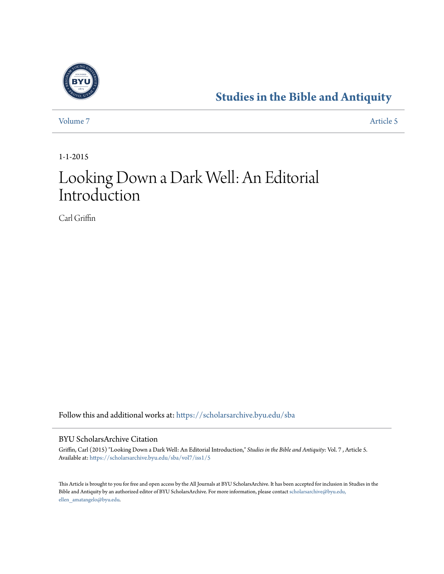

### **[Studies in the Bible and Antiquity](https://scholarsarchive.byu.edu/sba?utm_source=scholarsarchive.byu.edu%2Fsba%2Fvol7%2Fiss1%2F5&utm_medium=PDF&utm_campaign=PDFCoverPages)**

[Volume 7](https://scholarsarchive.byu.edu/sba/vol7?utm_source=scholarsarchive.byu.edu%2Fsba%2Fvol7%2Fiss1%2F5&utm_medium=PDF&utm_campaign=PDFCoverPages) [Article 5](https://scholarsarchive.byu.edu/sba/vol7/iss1/5?utm_source=scholarsarchive.byu.edu%2Fsba%2Fvol7%2Fiss1%2F5&utm_medium=PDF&utm_campaign=PDFCoverPages)

1-1-2015

# Looking Down a Dark Well: An Editorial Introduction

Carl Griffin

Follow this and additional works at: [https://scholarsarchive.byu.edu/sba](https://scholarsarchive.byu.edu/sba?utm_source=scholarsarchive.byu.edu%2Fsba%2Fvol7%2Fiss1%2F5&utm_medium=PDF&utm_campaign=PDFCoverPages)

#### BYU ScholarsArchive Citation

Griffin, Carl (2015) "Looking Down a Dark Well: An Editorial Introduction," *Studies in the Bible and Antiquity*: Vol. 7 , Article 5. Available at: [https://scholarsarchive.byu.edu/sba/vol7/iss1/5](https://scholarsarchive.byu.edu/sba/vol7/iss1/5?utm_source=scholarsarchive.byu.edu%2Fsba%2Fvol7%2Fiss1%2F5&utm_medium=PDF&utm_campaign=PDFCoverPages)

This Article is brought to you for free and open access by the All Journals at BYU ScholarsArchive. It has been accepted for inclusion in Studies in the Bible and Antiquity by an authorized editor of BYU ScholarsArchive. For more information, please contact [scholarsarchive@byu.edu,](mailto:scholarsarchive@byu.edu,%20ellen_amatangelo@byu.edu) [ellen\\_amatangelo@byu.edu.](mailto:scholarsarchive@byu.edu,%20ellen_amatangelo@byu.edu)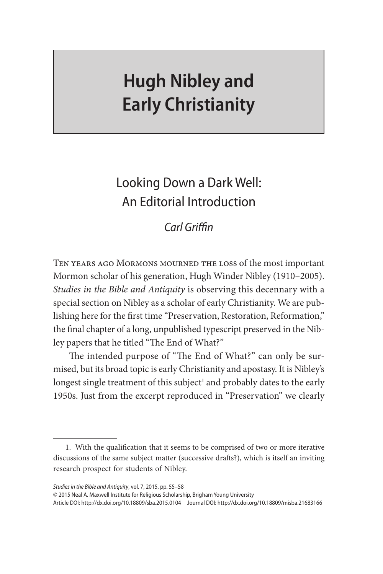## **Hugh Nibley and Early Christianity**

## Looking Down a Dark Well: An Editorial Introduction

#### *Carl Griffin*

Ten years ago Mormons mourned the loss of the most important Mormon scholar of his generation, Hugh Winder Nibley (1910–2005). *Studies in the Bible and Antiquity* is observing this decennary with a special section on Nibley as a scholar of early Christianity. We are publishing here for the first time "Preservation, Restoration, Reformation," the final chapter of a long, unpublished typescript preserved in the Nibley papers that he titled "The End of What?"

The intended purpose of "The End of What?" can only be surmised, but its broad topic is early Christianity and apostasy. It is Nibley's longest single treatment of this subject<sup>1</sup> and probably dates to the early 1950s. Just from the excerpt reproduced in "Preservation" we clearly

*Studies in the Bible and Antiquity*, vol. 7, 2015, pp. 55–58

© 2015 Neal A. Maxwell Institute for Religious Scholarship, Brigham Young University

Article DOI: http://dx.doi.org/10.18809/sba.2015.0104 Journal DOI: http://dx.doi.org/10.18809/misba.21683166

<sup>1.</sup> With the qualification that it seems to be comprised of two or more iterative discussions of the same subject matter (successive drafts?), which is itself an inviting research prospect for students of Nibley.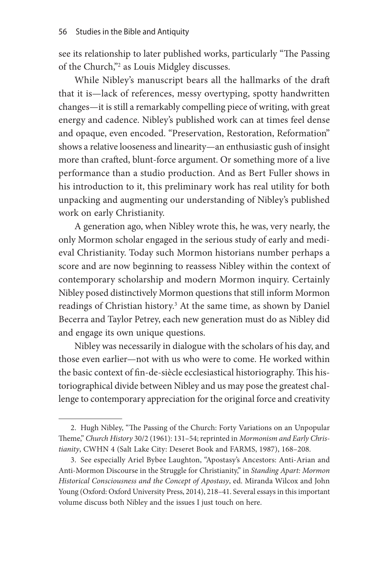see its relationship to later published works, particularly "The Passing of the Church,"<sup>2</sup> as Louis Midgley discusses.

While Nibley's manuscript bears all the hallmarks of the draft that it is—lack of references, messy overtyping, spotty handwritten changes—it is still a remarkably compelling piece of writing, with great energy and cadence. Nibley's published work can at times feel dense and opaque, even encoded. "Preservation, Restoration, Reformation" shows a relative looseness and linearity—an enthusiastic gush of insight more than crafted, blunt-force argument. Or something more of a live performance than a studio production. And as Bert Fuller shows in his introduction to it, this preliminary work has real utility for both unpacking and augmenting our understanding of Nibley's published work on early Christianity.

A generation ago, when Nibley wrote this, he was, very nearly, the only Mormon scholar engaged in the serious study of early and medieval Christianity. Today such Mormon historians number perhaps a score and are now beginning to reassess Nibley within the context of contemporary scholarship and modern Mormon inquiry. Certainly Nibley posed distinctively Mormon questions that still inform Mormon readings of Christian history.<sup>3</sup> At the same time, as shown by Daniel Becerra and Taylor Petrey, each new generation must do as Nibley did and engage its own unique questions.

Nibley was necessarily in dialogue with the scholars of his day, and those even earlier—not with us who were to come. He worked within the basic context of fin-de-siècle ecclesiastical historiography. This historiographical divide between Nibley and us may pose the greatest challenge to contemporary appreciation for the original force and creativity

<sup>2.</sup> Hugh Nibley, "The Passing of the Church: Forty Variations on an Unpopular Theme," *Church History* 30/2 (1961): 131–54; reprinted in *Mormonism and Early Christianity*, CWHN 4 (Salt Lake City: Deseret Book and FARMS, 1987), 168–208.

<sup>3.</sup> See especially Ariel Bybee Laughton, "Apostasy's Ancestors: Anti-Arian and Anti-Mormon Discourse in the Struggle for Christianity," in *Standing Apart: Mormon Historical Consciousness and the Concept of Apostasy*, ed. Miranda Wilcox and John Young (Oxford: Oxford University Press, 2014), 218–41. Several essays in this important volume discuss both Nibley and the issues I just touch on here.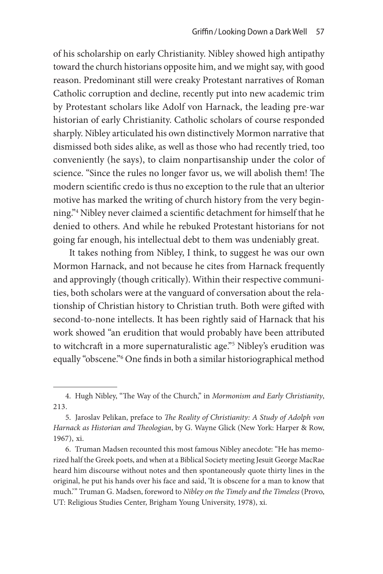of his scholarship on early Christianity. Nibley showed high antipathy toward the church historians opposite him, and we might say, with good reason. Predominant still were creaky Protestant narratives of Roman Catholic corruption and decline, recently put into new academic trim by Protestant scholars like Adolf von Harnack, the leading pre-war historian of early Christianity. Catholic scholars of course responded sharply. Nibley articulated his own distinctively Mormon narrative that dismissed both sides alike, as well as those who had recently tried, too conveniently (he says), to claim nonpartisanship under the color of science. "Since the rules no longer favor us, we will abolish them! The modern scientific credo is thus no exception to the rule that an ulterior motive has marked the writing of church history from the very beginning."4 Nibley never claimed a scientific detachment for himself that he denied to others. And while he rebuked Protestant historians for not going far enough, his intellectual debt to them was undeniably great.

It takes nothing from Nibley, I think, to suggest he was our own Mormon Harnack, and not because he cites from Harnack frequently and approvingly (though critically). Within their respective communities, both scholars were at the vanguard of conversation about the relationship of Christian history to Christian truth. Both were gifted with second-to-none intellects. It has been rightly said of Harnack that his work showed "an erudition that would probably have been attributed to witchcraft in a more supernaturalistic age."5 Nibley's erudition was equally "obscene."6 One finds in both a similar historiographical method

<sup>4.</sup> Hugh Nibley, "The Way of the Church," in *Mormonism and Early Christianity*, 213.

<sup>5.</sup> Jaroslav Pelikan, preface to *The Reality of Christianity: A Study of Adolph von Harnack as Historian and Theologian*, by G. Wayne Glick (New York: Harper & Row, 1967), xi.

<sup>6.</sup> Truman Madsen recounted this most famous Nibley anecdote: "He has memorized half the Greek poets, and when at a Biblical Society meeting Jesuit George MacRae heard him discourse without notes and then spontaneously quote thirty lines in the original, he put his hands over his face and said, 'It is obscene for a man to know that much.'" Truman G. Madsen, foreword to *Nibley on the Timely and the Timeless* (Provo, UT: Religious Studies Center, Brigham Young University, 1978), xi.